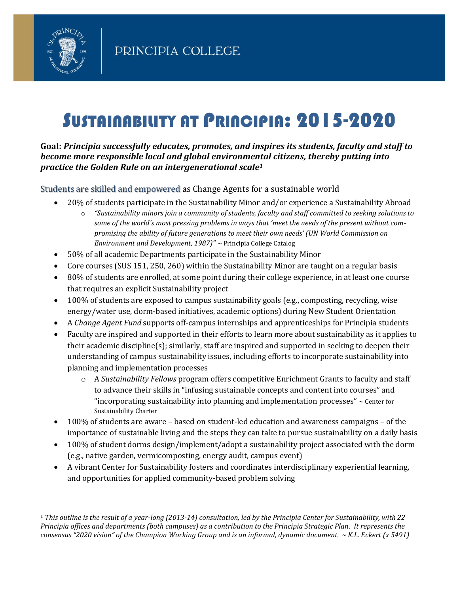

# SUSTAINABILITY AT PRINCIPIA: 2015-2020

**Goal:** *Principia successfully educates, promotes, and inspires its students, faculty and staff to become more responsible local and global environmental citizens, thereby putting into practice the Golden Rule on an intergenerational scale<sup>1</sup>*

Students are skilled and empowered as Change Agents for a sustainable world

- 20% of students participate in the Sustainability Minor and/or experience a Sustainability Abroad
	- o *"Sustainability minors join a community of students, faculty and staff committed to seeking solutions to some of the world's most pressing problems in ways that 'meet the needs of the present without compromising the ability of future generations to meet their own needs' (UN World Commission on Environment and Development, 1987)"* ~ Principia College Catalog
- 50% of all academic Departments participate in the Sustainability Minor
- Core courses (SUS 151, 250, 260) within the Sustainability Minor are taught on a regular basis
- 80% of students are enrolled, at some point during their college experience, in at least one course that requires an explicit Sustainability project
- 100% of students are exposed to campus sustainability goals (e.g., composting, recycling, wise energy/water use, dorm-based initiatives, academic options) during New Student Orientation
- A *Change Agent Fund* supports off-campus internships and apprenticeships for Principia students
- Faculty are inspired and supported in their efforts to learn more about sustainability as it applies to their academic discipline(s); similarly, staff are inspired and supported in seeking to deepen their understanding of campus sustainability issues, including efforts to incorporate sustainability into planning and implementation processes
	- o A *Sustainability Fellows* program offers competitive Enrichment Grants to faculty and staff to advance their skills in "infusing sustainable concepts and content into courses" and "incorporating sustainability into planning and implementation processes"  $\sim$  Center for Sustainability Charter
- 100% of students are aware based on student-led education and awareness campaigns of the importance of sustainable living and the steps they can take to pursue sustainability on a daily basis
- 100% of student dorms design/implement/adopt a sustainability project associated with the dorm (e.g., native garden, vermicomposting, energy audit, campus event)
- A vibrant Center for Sustainability fosters and coordinates interdisciplinary experiential learning, and opportunities for applied community-based problem solving

<sup>1</sup> *This outline is the result of a year-long (2013-14) consultation, led by the Principia Center for Sustainability, with 22 Principia offices and departments (both campuses) as a contribution to the Principia Strategic Plan. It represents the consensus "2020 vision" of the Champion Working Group and is an informal, dynamic document. ~ K.L. Eckert (x 5491)*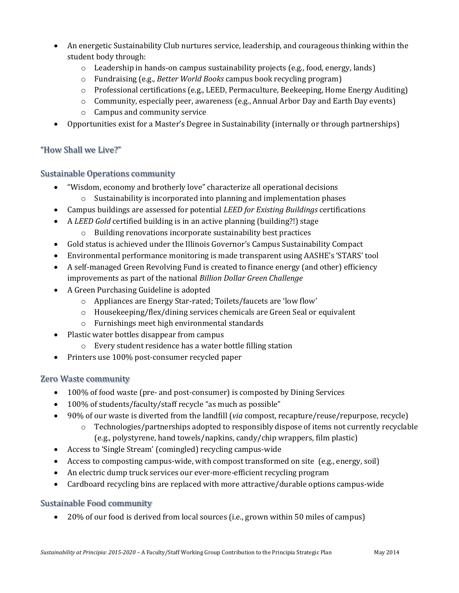- An energetic Sustainability Club nurtures service, leadership, and courageous thinking within the student body through:
	- $\circ$  Leadership in hands-on campus sustainability projects (e.g., food, energy, lands)
	- o Fundraising (e.g., *Better World Books* campus book recycling program)
	- o Professional certifications (e.g., LEED, Permaculture, Beekeeping, Home Energy Auditing)
	- o Community, especially peer, awareness (e.g., Annual Arbor Day and Earth Day events)
	- o Campus and community service
- Opportunities exist for a Master's Degree in Sustainability (internally or through partnerships)

#### "How Shall we Live?"

#### Sustainable Operations community

- "Wisdom, economy and brotherly love" characterize all operational decisions
	- o Sustainability is incorporated into planning and implementation phases
- Campus buildings are assessed for potential *LEED for Existing Buildings* certifications
- A *LEED Gold* certified building is in an active planning (building?!) stage o Building renovations incorporate sustainability best practices
- Gold status is achieved under the Illinois Governor's Campus Sustainability Compact
- Environmental performance monitoring is made transparent using AASHE's 'STARS' tool
- A self-managed Green Revolving Fund is created to finance energy (and other) efficiency improvements as part of the national *Billion Dollar Green Challenge*
- A Green Purchasing Guideline is adopted
	- o Appliances are Energy Star-rated; Toilets/faucets are 'low flow'
	- o Housekeeping/flex/dining services chemicals are Green Seal or equivalent
	- o Furnishings meet high environmental standards
- Plastic water bottles disappear from campus
	- o Every student residence has a water bottle filling station
- Printers use 100% post-consumer recycled paper

# Zero Waste community

- 100% of food waste (pre- and post-consumer) is composted by Dining Services
- 100% of students/faculty/staff recycle "as much as possible"
- 90% of our waste is diverted from the landfill (*via* compost, recapture/reuse/repurpose, recycle)
	- $\circ$  Technologies/partnerships adopted to responsibly dispose of items not currently recyclable (e.g., polystyrene, hand towels/napkins, candy/chip wrappers, film plastic)
- Access to 'Single Stream' (comingled) recycling campus-wide
- Access to composting campus-wide, with compost transformed on site (e.g., energy, soil)
- An electric dump truck services our ever-more-efficient recycling program
- Cardboard recycling bins are replaced with more attractive/durable options campus-wide

# Sustainable Food community

• 20% of our food is derived from local sources (i.e., grown within 50 miles of campus)